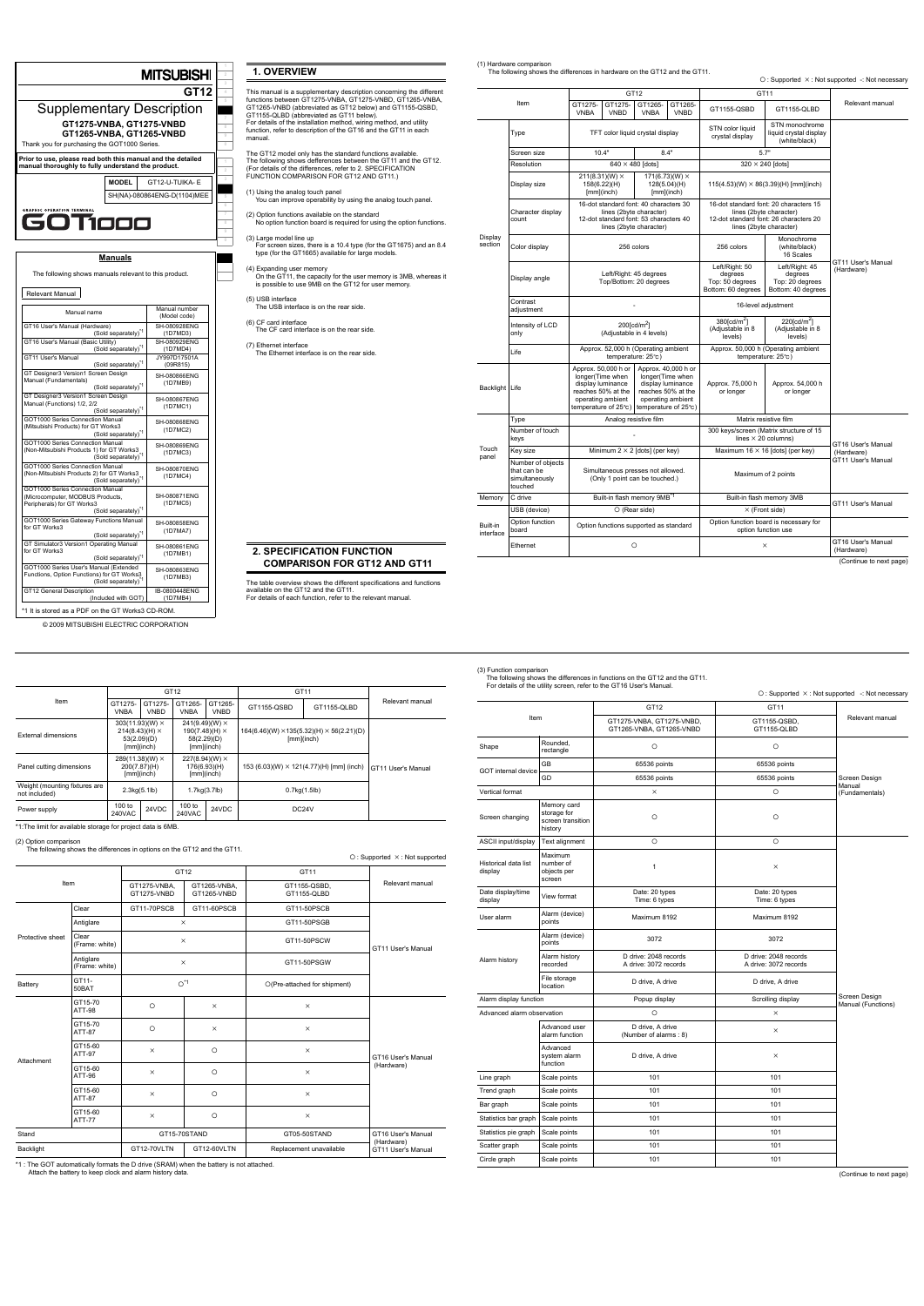**7 8 9**

**4 5**

|                                                                                                                                       | <b>MITSUBISHI</b>             |
|---------------------------------------------------------------------------------------------------------------------------------------|-------------------------------|
|                                                                                                                                       | GT12                          |
| <b>Supplementary Description</b>                                                                                                      |                               |
| GT1275-VNBA, GT1275-VNBD<br>GT1265-VNBA, GT1265-VNBD<br>Thank you for purchasing the GOT1000 Series.                                  |                               |
| Prior to use, please read both this manual and the detailed<br>manual thoroughly to fully understand the product.                     |                               |
| <b>MODEL</b>                                                                                                                          | GT12-U-TUIKA- E               |
|                                                                                                                                       | SH(NA)-080864ENG-D(1104)MEE   |
| <b>GRAPHIC OPERATION TERMINA</b><br>1001                                                                                              |                               |
| <u>Manuals</u>                                                                                                                        |                               |
| The following shows manuals relevant to this product.                                                                                 |                               |
| Relevant Manual                                                                                                                       |                               |
| Manual name                                                                                                                           | Manual number<br>(Model code) |
| GT16 User's Manual (Hardware)<br>(Sold separately) <sup>*1</sup>                                                                      | SH-080928ENG<br>(1D7MD3)      |
| GT16 User's Manual (Basic Utility)<br>(Sold separately) <sup>*1</sup>                                                                 | SH-080929ENG<br>(1D7MD4)      |
| GT11 User's Manual<br>(Sold separately) <sup>*1</sup>                                                                                 | JY997D17501A<br>(09R815)      |
| GT Designer3 Version1 Screen Design<br>Manual (Fundamentals)<br>(Sold separately) <sup>*1</sup>                                       | SH-080866ENG<br>(1D7MB9)      |
| GT Designer3 Version1 Screen Design<br>Manual (Functions) 1/2, 2/2<br>(Sold separately) <sup>*1</sup>                                 | SH-080867ENG<br>(1D7MC1)      |
| GOT1000 Series Connection Manual<br>(Mitsubishi Products) for GT Works3<br>(Sold separately) <sup>*1</sup>                            | SH-080868ENG<br>(1D7MC2)      |
| GOT1000 Series Connection Manual<br>(Non-Mitsubishi Products 1) for GT Works3<br>(Sold separately)*1                                  | SH-080869ENG<br>(1D7MC3)      |
| GOT1000 Series Connection Manual<br>(Non-Mitsubishi Products 2) for GT Works3<br>(Sold separately) <sup>*1</sup>                      | SH-080870ENG<br>(1D7MC4)      |
| GOT1000 Series Connection Manual<br>(Microcomputer, MODBUS Products,<br>Peripherals) for GT Works3<br>(Sold separately) <sup>*1</sup> | SH-080871ENG<br>(1D7MC5)      |
| GOT1000 Series Gateway Functions Manual<br>for GT Works3<br>(Sold separately)*1                                                       | SH-080858ENG<br>(1D7MA7)      |
| GT Simulator3 Version1 Operating Manual<br>for GT Works3<br>(Sold separately) <sup>*1</sup>                                           | SH-080861ENG<br>(1D7MB1)      |
| GOT1000 Series User's Manual (Extended<br>Functions, Option Functions) for GT Works3<br>(Sold separately)                             | SH-080863ENG<br>(1D7MB3)      |
| GT12 General Description<br>(Included with GOT)                                                                                       | IB-0800448ENG<br>(1D7MB4)     |
| *1 It is stored as a PDF on the GT Works3 CD-ROM.                                                                                     |                               |
| @ 2009 MITSUBISHI ELECTRIC CORPORATION                                                                                                |                               |

# **1. OVERVIEW**

| The GT12 model only has the standard functions available.<br>The following shows defferences between the GT11 and the GT12.<br>(For details of the differences, refer to 2, SPECIFICATION<br>FUNCTION COMPARISON FOR GT12 AND GT11.)<br>(1) Using the analog touch panel<br>You can improve operability by using the analog touch panel.<br>(2) Option functions available on the standard<br>No option function board is required for using the option functions.<br>(3) Large model line up<br>For screen sizes, there is a 10.4 type (for the GT1675) and an 8.4<br>type (for the GT1665) available for large models.<br>(4) Expanding user memory<br>On the GT11, the capacity for the user memory is 3MB, whereas it<br>is possible to use 9MB on the GT12 for user memory.<br>(5) USB interface<br>The USB interface is on the rear side.<br>(6) CF card interface<br>The CF card interface is on the rear side.<br>(7) Ethernet interface<br>The Ethernet interface is on the rear side. | manual. | functions between GT1275-VNBA, GT1275-VNBD, GT1265-VNBA,<br>GT1265-VNBD (abbreviated as GT12 below) and GT1155-QSBD,<br>GT1155-QLBD (abbreviated as GT11 below).<br>For details of the installation method, wiring method, and utility<br>function, refer to description of the GT16 and the GT11 in each |
|-------------------------------------------------------------------------------------------------------------------------------------------------------------------------------------------------------------------------------------------------------------------------------------------------------------------------------------------------------------------------------------------------------------------------------------------------------------------------------------------------------------------------------------------------------------------------------------------------------------------------------------------------------------------------------------------------------------------------------------------------------------------------------------------------------------------------------------------------------------------------------------------------------------------------------------------------------------------------------------------------|---------|-----------------------------------------------------------------------------------------------------------------------------------------------------------------------------------------------------------------------------------------------------------------------------------------------------------|
|                                                                                                                                                                                                                                                                                                                                                                                                                                                                                                                                                                                                                                                                                                                                                                                                                                                                                                                                                                                                 |         |                                                                                                                                                                                                                                                                                                           |
|                                                                                                                                                                                                                                                                                                                                                                                                                                                                                                                                                                                                                                                                                                                                                                                                                                                                                                                                                                                                 |         |                                                                                                                                                                                                                                                                                                           |
|                                                                                                                                                                                                                                                                                                                                                                                                                                                                                                                                                                                                                                                                                                                                                                                                                                                                                                                                                                                                 |         |                                                                                                                                                                                                                                                                                                           |
|                                                                                                                                                                                                                                                                                                                                                                                                                                                                                                                                                                                                                                                                                                                                                                                                                                                                                                                                                                                                 |         |                                                                                                                                                                                                                                                                                                           |
|                                                                                                                                                                                                                                                                                                                                                                                                                                                                                                                                                                                                                                                                                                                                                                                                                                                                                                                                                                                                 |         |                                                                                                                                                                                                                                                                                                           |
|                                                                                                                                                                                                                                                                                                                                                                                                                                                                                                                                                                                                                                                                                                                                                                                                                                                                                                                                                                                                 |         |                                                                                                                                                                                                                                                                                                           |
|                                                                                                                                                                                                                                                                                                                                                                                                                                                                                                                                                                                                                                                                                                                                                                                                                                                                                                                                                                                                 |         |                                                                                                                                                                                                                                                                                                           |
|                                                                                                                                                                                                                                                                                                                                                                                                                                                                                                                                                                                                                                                                                                                                                                                                                                                                                                                                                                                                 |         |                                                                                                                                                                                                                                                                                                           |
|                                                                                                                                                                                                                                                                                                                                                                                                                                                                                                                                                                                                                                                                                                                                                                                                                                                                                                                                                                                                 |         |                                                                                                                                                                                                                                                                                                           |

**2. SPECIFICATION FUNCTION COMPARISON FOR GT12 AND GT11**

The table overview shows the different specifications and functions available on the GT12 and the GT11. For details of each function, refer to the relevant manual.

<span id="page-0-0"></span>(1) Hardware comparison The following shows the differences in hardware on the GT12 and the GT11.

 $\bigcirc$ : Supported  $\times$ : Not supported -: Not necessary

(Continue to next page)

| Item                  |                                                               |                                                                     |                                                                                                                                        | GT12                    |                                                                                                                                 | GT11                                                                  |                                                                                                                                        |                                  |
|-----------------------|---------------------------------------------------------------|---------------------------------------------------------------------|----------------------------------------------------------------------------------------------------------------------------------------|-------------------------|---------------------------------------------------------------------------------------------------------------------------------|-----------------------------------------------------------------------|----------------------------------------------------------------------------------------------------------------------------------------|----------------------------------|
|                       |                                                               | GT1275-<br><b>VNBA</b>                                              | GT1275-<br><b>VNBD</b>                                                                                                                 | GT1265-<br><b>VNBA</b>  | GT1265-<br><b>VNBD</b>                                                                                                          | GT1155-OSBD                                                           | GT1155-QLBD                                                                                                                            | Relevant manual                  |
|                       | Type                                                          | TFT color liquid crystal display                                    |                                                                                                                                        |                         |                                                                                                                                 | STN color liquid<br>crystal display                                   | STN monochrome<br>liquid crystal display<br>(white/black)                                                                              |                                  |
|                       | Screen size                                                   | 10.4"                                                               |                                                                                                                                        |                         | 8.4"                                                                                                                            | 5.7"                                                                  |                                                                                                                                        |                                  |
|                       | Resolution                                                    |                                                                     |                                                                                                                                        | $640 \times 480$ [dots] |                                                                                                                                 |                                                                       | $320 \times 240$ [dots]                                                                                                                |                                  |
|                       | Display size                                                  |                                                                     | 211(8.31)(W) ×<br>158(6.22)(H)<br>$[mm]$ (inch)                                                                                        |                         | $171(6.73)(W) \times$<br>128(5.04)(H)<br>$[mm]$ (inch)                                                                          |                                                                       | $115(4.53)(W) \times 86(3.39)(H)$ [mm](inch)                                                                                           |                                  |
|                       | Character display<br>count                                    |                                                                     | 16-dot standard font: 40 characters 30<br>lines (2byte character)<br>12-dot standard font: 53 characters 40<br>lines (2byte character) |                         |                                                                                                                                 |                                                                       | 16-dot standard font: 20 characters 15<br>lines (2byte character)<br>12-dot standard font: 26 characters 20<br>lines (2byte character) |                                  |
| Display<br>section    | Color display                                                 |                                                                     |                                                                                                                                        | 256 colors              |                                                                                                                                 | 256 colors                                                            | Monochrome<br>(white/black)<br>16 Scales                                                                                               |                                  |
|                       | Display angle                                                 | Left/Right: 45 degrees<br>Top/Bottom: 20 degrees                    |                                                                                                                                        |                         |                                                                                                                                 | Left/Right: 50<br>degrees<br>Top: 50 degrees<br>Bottom: 60 degrees    | Left/Right: 45<br>degrees<br>Top: 20 degrees<br>Bottom: 40 degrees                                                                     | GT11 User's Manual<br>(Hardware) |
|                       | Contrast<br>adjustment                                        |                                                                     |                                                                                                                                        |                         |                                                                                                                                 | 16-level adjustment                                                   |                                                                                                                                        |                                  |
|                       | Intensity of LCD<br>only                                      | 200fcd/m <sup>2</sup> 1<br>(Adjustable in 4 levels)                 |                                                                                                                                        |                         |                                                                                                                                 | 380fcd/m <sup>2</sup> 1<br>(Adjustable in 8<br>levels)                | $220$ [cd/m <sup>2</sup> ]<br>(Adjustable in 8<br>levels)                                                                              |                                  |
|                       | Life                                                          | Approx. 52,000 h (Operating ambient<br>temperature: 25°C)           |                                                                                                                                        |                         |                                                                                                                                 |                                                                       | Approx. 50,000 h (Operating ambient<br>temperature: 25°C)                                                                              |                                  |
| Backlight Life        |                                                               | longer(Time when                                                    | Approx. 50,000 h or<br>display luminance<br>reaches 50% at the<br>operating ambient<br>temperature of 25°c)                            |                         | Approx. 40,000 h or<br>longer(Time when<br>display luminance<br>reaches 50% at the<br>operating ambient<br>temperature of 25°C) | Approx. 75,000 h<br>or longer                                         | Approx. 54,000 h<br>or longer                                                                                                          |                                  |
|                       | Type                                                          |                                                                     | Analog resistive film                                                                                                                  |                         |                                                                                                                                 | Matrix resistive film                                                 |                                                                                                                                        |                                  |
|                       | Number of touch<br>keys                                       |                                                                     |                                                                                                                                        |                         |                                                                                                                                 | 300 keys/screen (Matrix structure of 15<br>lines $\times$ 20 columns) |                                                                                                                                        | GT16 User's Manual               |
| Touch<br>panel        | Key size                                                      |                                                                     | Minimum $2 \times 2$ [dots] (per key)                                                                                                  |                         |                                                                                                                                 | Maximum 16 $\times$ 16 [dots] (per key)                               |                                                                                                                                        | (Hardware)                       |
|                       | Number of objects<br>that can be<br>simultaneously<br>touched | Simultaneous presses not allowed.<br>(Only 1 point can be touched.) |                                                                                                                                        |                         |                                                                                                                                 | Maximum of 2 points                                                   |                                                                                                                                        | GT11 User's Manual               |
| Memory                | C drive                                                       |                                                                     | Built-in flash memory 9MB <sup>*1</sup>                                                                                                |                         |                                                                                                                                 | Built-in flash memory 3MB                                             |                                                                                                                                        | GT11 User's Manual               |
|                       | USB (device)                                                  |                                                                     |                                                                                                                                        | $\circ$ (Rear side)     |                                                                                                                                 |                                                                       | $\times$ (Front side)                                                                                                                  |                                  |
| Built-in<br>interface | Option function<br>board                                      |                                                                     | Option functions supported as standard                                                                                                 |                         |                                                                                                                                 |                                                                       | Option function board is necessary for<br>option function use                                                                          |                                  |
|                       | Ethernet                                                      | O                                                                   |                                                                                                                                        |                         |                                                                                                                                 | $\times$                                                              |                                                                                                                                        | GT16 User's Manual<br>(Hardware) |

\*1:The limit for available storage for project data is 6MB.

(2) Option comparison The following shows the differences in options on the GT12 and the GT11.

 $\circ$  : Supported  $\times$  : Not supported

| *1 : The GOT automatically formats the D drive (SRAM) when the battery is not attached. |  |  |
|-----------------------------------------------------------------------------------------|--|--|
| Attach the battery to keep clock and alarm history data.                                |  |  |

|                                                | GT12                                                                            |                        |                                                                                   |                        | GT11                                                                   |             |                    |
|------------------------------------------------|---------------------------------------------------------------------------------|------------------------|-----------------------------------------------------------------------------------|------------------------|------------------------------------------------------------------------|-------------|--------------------|
| Item                                           | GT1275-<br><b>VNBA</b>                                                          | GT1275-<br><b>VNBD</b> | GT1265-<br><b>VNBA</b>                                                            | GT1265-<br><b>VNBD</b> | GT1155-QSBD                                                            | GT1155-QLBD | Relevant manual    |
| External dimensions                            | $303(11.93)(W) \times$<br>$214(8.43)(H) \times$<br>53(2.09)(D)<br>$[mm]$ (inch) |                        | $241(9.49)(W) \times$<br>$190(7.48)$ (H) $\times$<br>58(2.29)(D)<br>$[mm]$ (inch) |                        | $164(6.46)(W) \times 135(5.32)(H) \times 56(2.21)(D)$<br>$[mm]$ (inch) |             |                    |
| Panel cutting dimensions                       | $289(11.38)(W) \times$<br>200(7.87)(H)<br>$[mm]$ (inch)                         |                        | $227(8.94)(W) \times$<br>176(6.93)(H)<br>$[mm]$ (inch)                            |                        | 153 (6.03)(W) $\times$ 121(4.77)(H) [mm] (inch)                        |             | GT11 User's Manual |
| Weight (mounting fixtures are<br>not included) | 2.3kg(5.1lb)                                                                    |                        | 1.7kg(3.7lb)                                                                      |                        | $0.7$ kg $(1.5$ lb $)$                                                 |             |                    |
| Power supply                                   | 100 to<br><b>240VAC</b>                                                         | 24VDC                  | 100 to<br>240VAC                                                                  | 24VDC                  | DC <sub>24</sub> V                                                     |             |                    |

| Item             |                             | GT12                        |                             | GT11                         |                                  |
|------------------|-----------------------------|-----------------------------|-----------------------------|------------------------------|----------------------------------|
|                  |                             | GT1275-VNBA.<br>GT1275-VNBD | GT1265-VNBA,<br>GT1265-VNBD | GT1155-QSBD,<br>GT1155-QLBD  | Relevant manual                  |
|                  | Clear                       | GT11-70PSCB                 | GT11-60PSCB                 | GT11-50PSCB                  |                                  |
|                  | Antiglare                   | $\times$                    |                             | GT11-50PSGB                  |                                  |
| Protective sheet | Clear<br>(Frame: white)     | $\times$                    |                             | GT11-50PSCW                  | GT11 User's Manual               |
|                  | Antiglare<br>(Frame: white) | $\times$                    |                             | GT11-50PSGW                  |                                  |
| Battery          | GT11-<br>50BAT              | $O^{\star}1$                |                             | O(Pre-attached for shipment) |                                  |
| Attachment       | GT15-70<br><b>ATT-98</b>    | $\circ$                     | $\times$                    | $\times$                     |                                  |
|                  | GT15-70<br><b>ATT-87</b>    | $\circ$                     | $\times$                    | $\times$                     |                                  |
|                  | GT15-60<br>ATT-97           | $\times$                    | $\circ$                     | $\times$                     | GT16 User's Manual               |
|                  | GT15-60<br>ATT-96           | $\times$                    | $\circ$                     | $\times$                     | (Hardware)                       |
|                  | GT15-60<br><b>ATT-87</b>    | $\times$                    | $\circ$                     | $\times$                     |                                  |
|                  | GT15-60<br><b>ATT-77</b>    | $\times$                    | $\circ$                     | $\times$                     |                                  |
| Stand            |                             | GT15-70STAND                |                             | GT05-50STAND                 | GT16 User's Manual               |
| Backlight        |                             | GT12-70VLTN                 | GT12-60VLTN                 | Replacement unavailable      | (Hardware)<br>GT11 User's Manual |

<span id="page-0-1"></span>(3) Function comparison The following shows the differences in functions on the GT12 and the GT11.

| For details of the utility screen, refer to the GT16 User's Manual. |
|---------------------------------------------------------------------|

(Continue to next page)

|                                 |                                                            |                                                       | ○: Supported ×: Not supported -: Not necessary |                                     |
|---------------------------------|------------------------------------------------------------|-------------------------------------------------------|------------------------------------------------|-------------------------------------|
|                                 |                                                            | GT12                                                  | GT11                                           |                                     |
| Item                            |                                                            | GT1275-VNBA, GT1275-VNBD,<br>GT1265-VNBA, GT1265-VNBD | GT1155-QSBD,<br>GT1155-QLBD                    | Relevant manual                     |
| Shape                           | Rounded.<br>rectangle                                      | $\circ$                                               | $\circ$                                        |                                     |
| GOT internal device             | <b>GB</b>                                                  | 65536 points                                          | 65536 points                                   |                                     |
|                                 | GD                                                         | 65536 points                                          | 65536 points                                   | Screen Design                       |
| Vertical format                 |                                                            | $\times$                                              | $\circ$                                        | Manual<br>(Fundamentals)            |
| Screen changing                 | Memory card<br>storage for<br>screen transition<br>history | $\circ$                                               | $\circ$                                        |                                     |
| ASCII input/display             | Text alignment                                             | $\circ$                                               | $\circ$                                        |                                     |
| Historical data list<br>display | Maximum<br>number of<br>objects per<br>screen              | $\mathbf{1}$                                          | $\times$                                       |                                     |
| Date display/time<br>display    | View format                                                | Date: 20 types<br>Time: 6 types                       | Date: 20 types<br>Time: 6 types                |                                     |
| User alarm                      | Alarm (device)<br>points                                   | Maximum 8192                                          | Maximum 8192                                   |                                     |
|                                 | Alarm (device)<br>points                                   | 3072                                                  | 3072                                           |                                     |
| Alarm history                   | Alarm history<br>recorded                                  | D drive: 2048 records<br>A drive: 3072 records        | D drive: 2048 records<br>A drive: 3072 records |                                     |
|                                 | File storage<br>location                                   | D drive, A drive                                      | D drive, A drive                               |                                     |
| Alarm display function          |                                                            | Popup display                                         | Scrolling display                              | Screen Design<br>Manual (Functions) |
| Advanced alarm observation      |                                                            | $\circ$                                               | $\times$                                       |                                     |
|                                 | Advanced user<br>alarm function                            | D drive, A drive<br>(Number of alarms: 8)             | $\times$                                       |                                     |
|                                 | Advanced<br>system alarm<br>function                       | D drive, A drive                                      | $\times$                                       |                                     |
| Line graph                      | Scale points                                               | 101                                                   | 101                                            |                                     |
| Trend graph                     | Scale points                                               | 101                                                   | 101                                            |                                     |
| Bar graph                       | Scale points                                               | 101                                                   | 101                                            |                                     |
| Statistics bar graph            | Scale points                                               | 101                                                   | 101                                            |                                     |
| Statistics pie graph            | Scale points                                               | 101                                                   | 101                                            |                                     |
| Scatter graph                   | Scale points                                               | 101                                                   | 101                                            |                                     |
| Circle graph                    | Scale points                                               | 101                                                   | 101                                            |                                     |